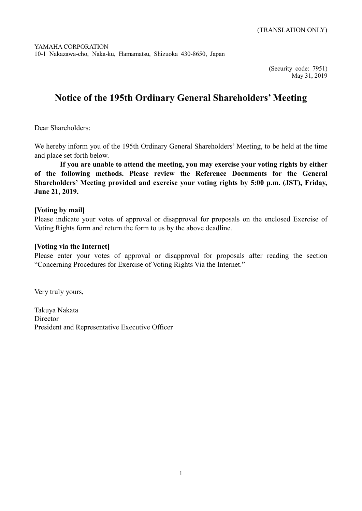(Security code: 7951) May 31, 2019

# **Notice of the 195th Ordinary General Shareholders' Meeting**

Dear Shareholders:

We hereby inform you of the 195th Ordinary General Shareholders' Meeting, to be held at the time and place set forth below.

**If you are unable to attend the meeting, you may exercise your voting rights by either of the following methods. Please review the Reference Documents for the General Shareholders' Meeting provided and exercise your voting rights by 5:00 p.m. (JST), Friday, June 21, 2019.**

### **[Voting by mail]**

Please indicate your votes of approval or disapproval for proposals on the enclosed Exercise of Voting Rights form and return the form to us by the above deadline.

# **[Voting via the Internet]**

Please enter your votes of approval or disapproval for proposals after reading the section "Concerning Procedures for Exercise of Voting Rights Via the Internet."

Very truly yours,

Takuya Nakata Director President and Representative Executive Officer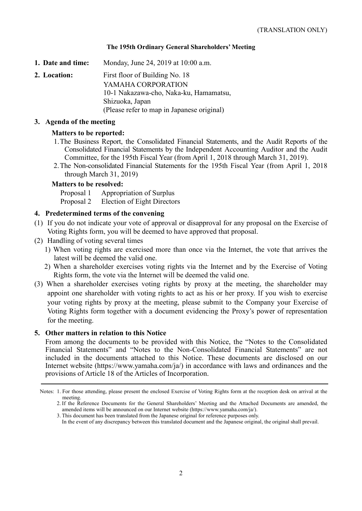#### **The 195th Ordinary General Shareholders' Meeting**

**1. Date and time:** Monday, June 24, 2019 at 10:00 a.m.

**2. Location:** First floor of Building No. 18 YAMAHA CORPORATION 10-1 Nakazawa-cho, Naka-ku, Hamamatsu, Shizuoka, Japan (Please refer to map in Japanese original)

#### **3. Agenda of the meeting**

#### **Matters to be reported:**

- 1.The Business Report, the Consolidated Financial Statements, and the Audit Reports of the Consolidated Financial Statements by the Independent Accounting Auditor and the Audit Committee, for the 195th Fiscal Year (from April 1, 2018 through March 31, 2019).
- 2.The Non-consolidated Financial Statements for the 195th Fiscal Year (from April 1, 2018 through March 31, 2019)

#### **Matters to be resolved:**

Proposal 1 Appropriation of Surplus Proposal 2 Election of Eight Directors

#### **4. Predetermined terms of the convening**

- (1) If you do not indicate your vote of approval or disapproval for any proposal on the Exercise of Voting Rights form, you will be deemed to have approved that proposal.
- (2) Handling of voting several times
	- 1) When voting rights are exercised more than once via the Internet, the vote that arrives the latest will be deemed the valid one.
	- 2) When a shareholder exercises voting rights via the Internet and by the Exercise of Voting Rights form, the vote via the Internet will be deemed the valid one.
- (3) When a shareholder exercises voting rights by proxy at the meeting, the shareholder may appoint one shareholder with voting rights to act as his or her proxy. If you wish to exercise your voting rights by proxy at the meeting, please submit to the Company your Exercise of Voting Rights form together with a document evidencing the Proxy's power of representation for the meeting.

#### **5. Other matters in relation to this Notice**

From among the documents to be provided with this Notice, the "Notes to the Consolidated Financial Statements" and "Notes to the Non-Consolidated Financial Statements" are not included in the documents attached to this Notice. These documents are disclosed on our Internet website (https://www.yamaha.com/ja/) in accordance with laws and ordinances and the provisions of Article 18 of the Articles of Incorporation.

3. This document has been translated from the Japanese original for reference purposes only.

Notes: 1. For those attending, please present the enclosed Exercise of Voting Rights form at the reception desk on arrival at the meeting.

<sup>2.</sup> If the Reference Documents for the General Shareholders' Meeting and the Attached Documents are amended, the amended items will be announced on our Internet website (https://www.yamaha.com/ja/).

In the event of any discrepancy between this translated document and the Japanese original, the original shall prevail.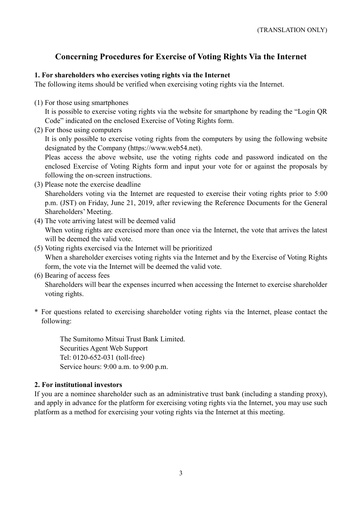# **Concerning Procedures for Exercise of Voting Rights Via the Internet**

# **1. For shareholders who exercises voting rights via the Internet**

The following items should be verified when exercising voting rights via the Internet.

(1) For those using smartphones

It is possible to exercise voting rights via the website for smartphone by reading the "Login QR Code" indicated on the enclosed Exercise of Voting Rights form.

(2) For those using computers

It is only possible to exercise voting rights from the computers by using the following website designated by the Company (https://www.web54.net).

Pleas access the above website, use the voting rights code and password indicated on the enclosed Exercise of Voting Rights form and input your vote for or against the proposals by following the on-screen instructions.

- (3) Please note the exercise deadline Shareholders voting via the Internet are requested to exercise their voting rights prior to 5:00 p.m. (JST) on Friday, June 21, 2019, after reviewing the Reference Documents for the General Shareholders' Meeting.
- (4) The vote arriving latest will be deemed valid When voting rights are exercised more than once via the Internet, the vote that arrives the latest will be deemed the valid vote.
- (5) Voting rights exercised via the Internet will be prioritized When a shareholder exercises voting rights via the Internet and by the Exercise of Voting Rights form, the vote via the Internet will be deemed the valid vote.
- (6) Bearing of access fees

Shareholders will bear the expenses incurred when accessing the Internet to exercise shareholder voting rights.

\* For questions related to exercising shareholder voting rights via the Internet, please contact the following:

The Sumitomo Mitsui Trust Bank Limited. Securities Agent Web Support Tel: 0120-652-031 (toll-free) Service hours: 9:00 a.m. to 9:00 p.m.

# **2. For institutional investors**

If you are a nominee shareholder such as an administrative trust bank (including a standing proxy), and apply in advance for the platform for exercising voting rights via the Internet, you may use such platform as a method for exercising your voting rights via the Internet at this meeting.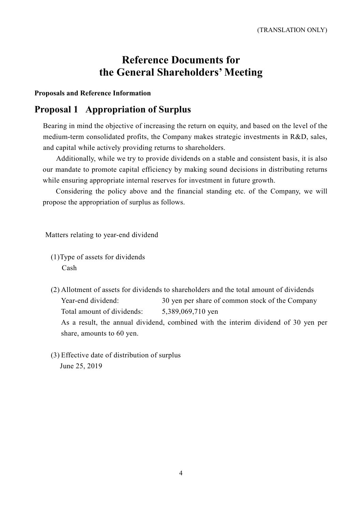# **Reference Documents for the General Shareholders' Meeting**

#### **Proposals and Reference Information**

# **Proposal 1 Appropriation of Surplus**

Bearing in mind the objective of increasing the return on equity, and based on the level of the medium-term consolidated profits, the Company makes strategic investments in R&D, sales, and capital while actively providing returns to shareholders.

Additionally, while we try to provide dividends on a stable and consistent basis, it is also our mandate to promote capital efficiency by making sound decisions in distributing returns while ensuring appropriate internal reserves for investment in future growth.

Considering the policy above and the financial standing etc. of the Company, we will propose the appropriation of surplus as follows.

Matters relating to year-end dividend

- (1)Type of assets for dividends Cash
- (2) Allotment of assets for dividends to shareholders and the total amount of dividends Year-end dividend: 30 yen per share of common stock of the Company Total amount of dividends: 5,389,069,710 yen As a result, the annual dividend, combined with the interim dividend of 30 yen per share, amounts to 60 yen.
- (3) Effective date of distribution of surplus June 25, 2019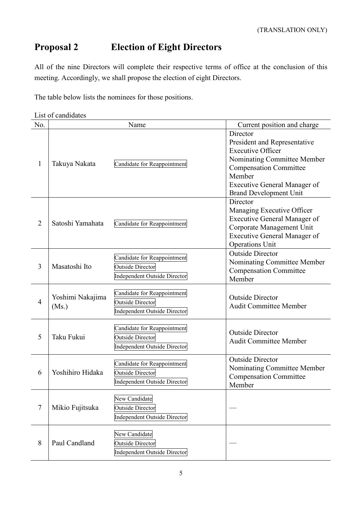# **Proposal 2 Election of Eight Directors**

All of the nine Directors will complete their respective terms of office at the conclusion of this meeting. Accordingly, we shall propose the election of eight Directors.

The table below lists the nominees for those positions.

| List of candidates |  |
|--------------------|--|
|--------------------|--|

| No.            |                           | Name                                                                                          | Current position and charge                                                                                                                                                                                     |
|----------------|---------------------------|-----------------------------------------------------------------------------------------------|-----------------------------------------------------------------------------------------------------------------------------------------------------------------------------------------------------------------|
| 1              | Takuya Nakata             | Candidate for Reappointment                                                                   | Director<br>President and Representative<br><b>Executive Officer</b><br>Nominating Committee Member<br><b>Compensation Committee</b><br>Member<br>Executive General Manager of<br><b>Brand Development Unit</b> |
| $\overline{2}$ | Satoshi Yamahata          | Candidate for Reappointment                                                                   | Director<br>Managing Executive Officer<br><b>Executive General Manager of</b><br>Corporate Management Unit<br><b>Executive General Manager of</b><br><b>Operations Unit</b>                                     |
| 3              | Masatoshi Ito             | Candidate for Reappointment<br><b>Outside Director</b><br><b>Independent Outside Director</b> | <b>Outside Director</b><br>Nominating Committee Member<br><b>Compensation Committee</b><br>Member                                                                                                               |
| $\overline{4}$ | Yoshimi Nakajima<br>(Ms.) | Candidate for Reappointment<br><b>Outside Director</b><br><b>Independent Outside Director</b> | <b>Outside Director</b><br><b>Audit Committee Member</b>                                                                                                                                                        |
| 5              | Taku Fukui                | Candidate for Reappointment<br><b>Outside Director</b><br><b>Independent Outside Director</b> | <b>Outside Director</b><br><b>Audit Committee Member</b>                                                                                                                                                        |
| 6              | Yoshihiro Hidaka          | Candidate for Reappointment<br><b>Outside Director</b><br><b>Independent Outside Director</b> | <b>Outside Director</b><br>Nominating Committee Member<br><b>Compensation Committee</b><br>Member                                                                                                               |
| 7              | Mikio Fujitsuka           | New Candidate<br><b>Outside Director</b><br><b>Independent Outside Director</b>               |                                                                                                                                                                                                                 |
| 8              | Paul Candland             | New Candidate<br><b>Outside Director</b><br><b>Independent Outside Director</b>               |                                                                                                                                                                                                                 |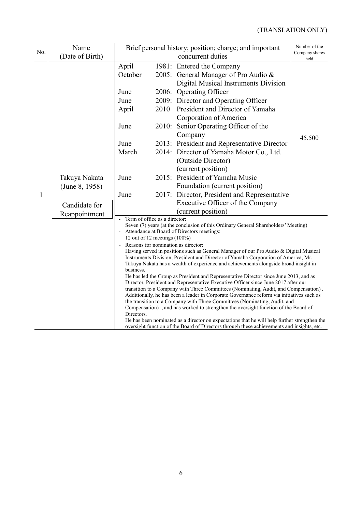| No. | Name<br>(Date of Birth)                          | Brief personal history; position; charge; and important                                                                                                                                                                                                                                                                                                                                                                                                                                                                                                                                                                                                                                                                                                                                                                                                                                                                                                                                                                                                                                                                                                                                                                                                                                                   | Number of the<br>Company shares<br>held |                                                                                                                                                                                                                                                                                                                                                                                                                                                                                                                                                                                               |        |  |
|-----|--------------------------------------------------|-----------------------------------------------------------------------------------------------------------------------------------------------------------------------------------------------------------------------------------------------------------------------------------------------------------------------------------------------------------------------------------------------------------------------------------------------------------------------------------------------------------------------------------------------------------------------------------------------------------------------------------------------------------------------------------------------------------------------------------------------------------------------------------------------------------------------------------------------------------------------------------------------------------------------------------------------------------------------------------------------------------------------------------------------------------------------------------------------------------------------------------------------------------------------------------------------------------------------------------------------------------------------------------------------------------|-----------------------------------------|-----------------------------------------------------------------------------------------------------------------------------------------------------------------------------------------------------------------------------------------------------------------------------------------------------------------------------------------------------------------------------------------------------------------------------------------------------------------------------------------------------------------------------------------------------------------------------------------------|--------|--|
| 1   | Takuya Nakata<br>(June 8, 1958)<br>Candidate for | April<br>October<br>June<br>June<br>April<br>June<br>June<br>March<br>June<br>June                                                                                                                                                                                                                                                                                                                                                                                                                                                                                                                                                                                                                                                                                                                                                                                                                                                                                                                                                                                                                                                                                                                                                                                                                        | 2010                                    | 1981: Entered the Company<br>2005: General Manager of Pro Audio &<br>Digital Musical Instruments Division<br>2006: Operating Officer<br>2009: Director and Operating Officer<br>President and Director of Yamaha<br>Corporation of America<br>2010: Senior Operating Officer of the<br>Company<br>2013: President and Representative Director<br>2014: Director of Yamaha Motor Co., Ltd.<br>(Outside Director)<br>(current position)<br>2015: President of Yamaha Music<br>Foundation (current position)<br>2017: Director, President and Representative<br>Executive Officer of the Company | 45,500 |  |
|     | Reappointment                                    | (current position)<br>Term of office as a director:<br>Seven (7) years (at the conclusion of this Ordinary General Shareholders' Meeting)<br>Attendance at Board of Directors meetings:<br>12 out of 12 meetings $(100\%)$<br>Reasons for nomination as director:<br>Having served in positions such as General Manager of our Pro Audio & Digital Musical<br>Instruments Division, President and Director of Yamaha Corporation of America, Mr.<br>Takuya Nakata has a wealth of experience and achievements alongside broad insight in<br>business.<br>He has led the Group as President and Representative Director since June 2013, and as<br>Director, President and Representative Executive Officer since June 2017 after our<br>transition to a Company with Three Committees (Nominating, Audit, and Compensation).<br>Additionally, he has been a leader in Corporate Governance reform via initiatives such as<br>the transition to a Company with Three Committees (Nominating, Audit, and<br>Compensation)., and has worked to strengthen the oversight function of the Board of<br>Directors.<br>He has been nominated as a director on expectations that he will help further strengthen the<br>oversight function of the Board of Directors through these achievements and insights, etc. |                                         |                                                                                                                                                                                                                                                                                                                                                                                                                                                                                                                                                                                               |        |  |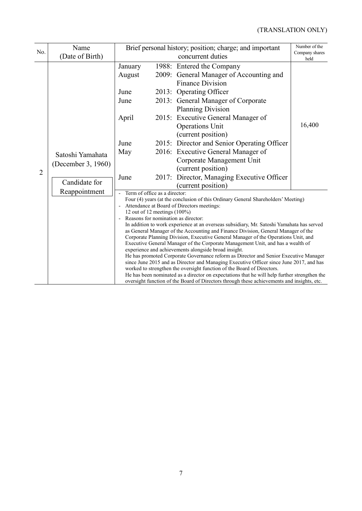| No.            | Name<br>(Date of Birth)                                                  | Brief personal history; position; charge; and important                                                                                                                                                                                                                                                                                                                                                                                                                                                                                                                                                                                                                                                                                                                                                                                                                                                                                                                                                                                                                                                                                    | Number of the<br>Company shares<br>held                                                                                                                                                                                                                                                                                           |        |
|----------------|--------------------------------------------------------------------------|--------------------------------------------------------------------------------------------------------------------------------------------------------------------------------------------------------------------------------------------------------------------------------------------------------------------------------------------------------------------------------------------------------------------------------------------------------------------------------------------------------------------------------------------------------------------------------------------------------------------------------------------------------------------------------------------------------------------------------------------------------------------------------------------------------------------------------------------------------------------------------------------------------------------------------------------------------------------------------------------------------------------------------------------------------------------------------------------------------------------------------------------|-----------------------------------------------------------------------------------------------------------------------------------------------------------------------------------------------------------------------------------------------------------------------------------------------------------------------------------|--------|
| $\overline{2}$ | Satoshi Yamahata<br>(December 3, 1960)<br>Candidate for<br>Reappointment | January<br>August<br>June<br>June<br>April<br>June                                                                                                                                                                                                                                                                                                                                                                                                                                                                                                                                                                                                                                                                                                                                                                                                                                                                                                                                                                                                                                                                                         | 1988: Entered the Company<br>2009: General Manager of Accounting and<br><b>Finance Division</b><br>2013: Operating Officer<br>2013: General Manager of Corporate<br><b>Planning Division</b><br>2015: Executive General Manager of<br><b>Operations Unit</b><br>(current position)<br>2015: Director and Senior Operating Officer | 16,400 |
|                |                                                                          | May<br>June                                                                                                                                                                                                                                                                                                                                                                                                                                                                                                                                                                                                                                                                                                                                                                                                                                                                                                                                                                                                                                                                                                                                | 2016: Executive General Manager of<br>Corporate Management Unit<br>(current position)<br>Director, Managing Executive Officer<br>2017:<br>(current position)                                                                                                                                                                      |        |
|                |                                                                          | Term of office as a director:<br>$\blacksquare$<br>Four (4) years (at the conclusion of this Ordinary General Shareholders' Meeting)<br>Attendance at Board of Directors meetings:<br>12 out of 12 meetings $(100\%)$<br>Reasons for nomination as director:<br>In addition to work experience at an overseas subsidiary, Mr. Satoshi Yamahata has served<br>as General Manager of the Accounting and Finance Division, General Manager of the<br>Corporate Planning Division, Executive General Manager of the Operations Unit, and<br>Executive General Manager of the Corporate Management Unit, and has a wealth of<br>experience and achievements alongside broad insight.<br>He has promoted Corporate Governance reform as Director and Senior Executive Manager<br>since June 2015 and as Director and Managing Executive Officer since June 2017, and has<br>worked to strengthen the oversight function of the Board of Directors.<br>He has been nominated as a director on expectations that he will help further strengthen the<br>oversight function of the Board of Directors through these achievements and insights, etc. |                                                                                                                                                                                                                                                                                                                                   |        |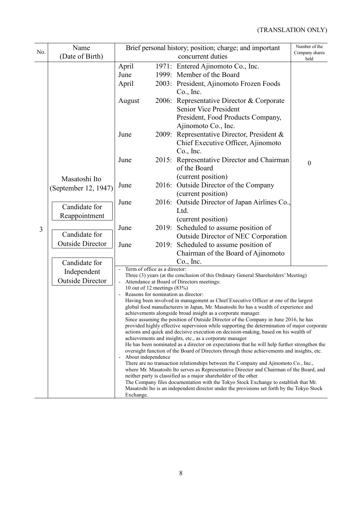| No. | Name                                                                                       |                                                                                                                                                                                                                                                                                                                                                                                                                                                                                                                                                                                                                                                                                                                                                                                                                                                                                                                                                                                                                                                                                                                                                                                                                                                                                                                                                                                                                                                                                                                                          |       | Brief personal history; position; charge; and important                                                                                                                                                                                                                                                                                                                                                                                                                                                                                                                                                                                                    | Number of the<br>Company shares |
|-----|--------------------------------------------------------------------------------------------|------------------------------------------------------------------------------------------------------------------------------------------------------------------------------------------------------------------------------------------------------------------------------------------------------------------------------------------------------------------------------------------------------------------------------------------------------------------------------------------------------------------------------------------------------------------------------------------------------------------------------------------------------------------------------------------------------------------------------------------------------------------------------------------------------------------------------------------------------------------------------------------------------------------------------------------------------------------------------------------------------------------------------------------------------------------------------------------------------------------------------------------------------------------------------------------------------------------------------------------------------------------------------------------------------------------------------------------------------------------------------------------------------------------------------------------------------------------------------------------------------------------------------------------|-------|------------------------------------------------------------------------------------------------------------------------------------------------------------------------------------------------------------------------------------------------------------------------------------------------------------------------------------------------------------------------------------------------------------------------------------------------------------------------------------------------------------------------------------------------------------------------------------------------------------------------------------------------------------|---------------------------------|
| 3   | (Date of Birth)<br>Masatoshi Ito<br>(September 12, 1947)<br>Candidate for<br>Reappointment | April<br>June<br>April<br>August<br>June<br>June<br>June<br>June<br>June                                                                                                                                                                                                                                                                                                                                                                                                                                                                                                                                                                                                                                                                                                                                                                                                                                                                                                                                                                                                                                                                                                                                                                                                                                                                                                                                                                                                                                                                 | 2009: | concurrent duties<br>1971: Entered Ajinomoto Co., Inc.<br>1999: Member of the Board<br>2003: President, Ajinomoto Frozen Foods<br>Co., Inc.<br>2006: Representative Director & Corporate<br><b>Senior Vice President</b><br>President, Food Products Company,<br>Ajinomoto Co., Inc.<br>Representative Director, President &<br>Chief Executive Officer, Ajinomoto<br>Co., Inc.<br>2015: Representative Director and Chairman<br>of the Board<br>(current position)<br>2016: Outside Director of the Company<br>(current position)<br>2016: Outside Director of Japan Airlines Co.,<br>Ltd.<br>(current position)<br>2019: Scheduled to assume position of | held<br>$\boldsymbol{0}$        |
|     | Candidate for<br><b>Outside Director</b><br>Candidate for                                  | June                                                                                                                                                                                                                                                                                                                                                                                                                                                                                                                                                                                                                                                                                                                                                                                                                                                                                                                                                                                                                                                                                                                                                                                                                                                                                                                                                                                                                                                                                                                                     |       | <b>Outside Director of NEC Corporation</b><br>2019: Scheduled to assume position of<br>Chairman of the Board of Ajinomoto<br>$Co.$ , Inc.                                                                                                                                                                                                                                                                                                                                                                                                                                                                                                                  |                                 |
|     | Independent<br><b>Outside Director</b>                                                     | Term of office as a director:<br>Three (3) years (at the conclusion of this Ordinary General Shareholders' Meeting)<br>Attendance at Board of Directors meetings:<br>10 out of 12 meetings (83%)<br>Reasons for nomination as director:<br>Having been involved in management as Chief Executive Officer at one of the largest<br>global food manufacturers in Japan, Mr. Masatoshi Ito has a wealth of experience and<br>achievements alongside broad insight as a corporate manager.<br>Since assuming the position of Outside Director of the Company in June 2016, he has<br>provided highly effective supervision while supporting the determination of major corporate<br>actions and quick and decisive execution on decision-making, based on his wealth of<br>achievements and insights, etc., as a corporate manager.<br>He has been nominated as a director on expectations that he will help further strengthen the<br>oversight function of the Board of Directors through these achievements and insights, etc.<br>About independence<br>$\overline{\phantom{a}}$<br>There are no transaction relationships between the Company and Ajinomoto Co., Inc.,<br>where Mr. Masatoshi Ito serves as Representative Director and Chairman of the Board, and<br>neither party is classified as a major shareholder of the other.<br>The Company files documentation with the Tokyo Stock Exchange to establish that Mr.<br>Masatoshi Ito is an independent director under the provisions set forth by the Tokyo Stock<br>Exchange. |       |                                                                                                                                                                                                                                                                                                                                                                                                                                                                                                                                                                                                                                                            |                                 |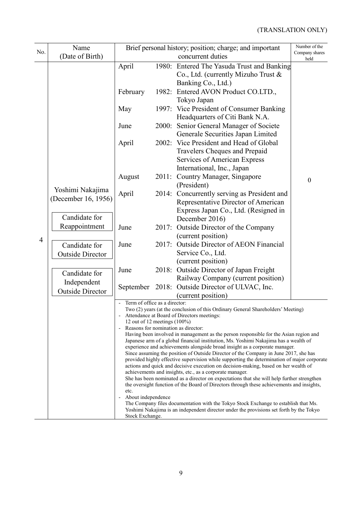| No.            | Name<br>(Date of Birth)                                                   |                                                                                                                                                                                                                                                                                                                                                                                                                                                                                                                                                                                                                                                                                                                                                                                                                                                                                                                                                                                                                                                                                                                                                                                                                                                                                     |       | Brief personal history; position; charge; and important<br>concurrent duties                                                                                                                                                                                                                                                                                     | Number of the<br>Company shares |  |
|----------------|---------------------------------------------------------------------------|-------------------------------------------------------------------------------------------------------------------------------------------------------------------------------------------------------------------------------------------------------------------------------------------------------------------------------------------------------------------------------------------------------------------------------------------------------------------------------------------------------------------------------------------------------------------------------------------------------------------------------------------------------------------------------------------------------------------------------------------------------------------------------------------------------------------------------------------------------------------------------------------------------------------------------------------------------------------------------------------------------------------------------------------------------------------------------------------------------------------------------------------------------------------------------------------------------------------------------------------------------------------------------------|-------|------------------------------------------------------------------------------------------------------------------------------------------------------------------------------------------------------------------------------------------------------------------------------------------------------------------------------------------------------------------|---------------------------------|--|
|                | Yoshimi Nakajima<br>(December 16, 1956)<br>Candidate for<br>Reappointment | April<br>February<br>May<br>June<br>April                                                                                                                                                                                                                                                                                                                                                                                                                                                                                                                                                                                                                                                                                                                                                                                                                                                                                                                                                                                                                                                                                                                                                                                                                                           | 2000: | 1980: Entered The Yasuda Trust and Banking<br>Co., Ltd. (currently Mizuho Trust &<br>Banking Co., Ltd.)<br>1982: Entered AVON Product CO.LTD.,<br>Tokyo Japan<br>1997: Vice President of Consumer Banking<br>Headquarters of Citi Bank N.A.<br>Senior General Manager of Societe<br>Generale Securities Japan Limited<br>2002: Vice President and Head of Global | held                            |  |
|                |                                                                           | August                                                                                                                                                                                                                                                                                                                                                                                                                                                                                                                                                                                                                                                                                                                                                                                                                                                                                                                                                                                                                                                                                                                                                                                                                                                                              | 2011: | Travelers Cheques and Prepaid<br>Services of American Express<br>International, Inc., Japan<br>Country Manager, Singapore<br>(President)                                                                                                                                                                                                                         | $\boldsymbol{0}$                |  |
|                |                                                                           | April                                                                                                                                                                                                                                                                                                                                                                                                                                                                                                                                                                                                                                                                                                                                                                                                                                                                                                                                                                                                                                                                                                                                                                                                                                                                               |       | 2014: Concurrently serving as President and<br>Representative Director of American<br>Express Japan Co., Ltd. (Resigned in<br>December 2016)                                                                                                                                                                                                                     |                                 |  |
|                |                                                                           | June                                                                                                                                                                                                                                                                                                                                                                                                                                                                                                                                                                                                                                                                                                                                                                                                                                                                                                                                                                                                                                                                                                                                                                                                                                                                                | 2017: | Outside Director of the Company<br>(current position)                                                                                                                                                                                                                                                                                                            |                                 |  |
| $\overline{4}$ | Candidate for<br><b>Outside Director</b>                                  | June                                                                                                                                                                                                                                                                                                                                                                                                                                                                                                                                                                                                                                                                                                                                                                                                                                                                                                                                                                                                                                                                                                                                                                                                                                                                                | 2017: | <b>Outside Director of AEON Financial</b><br>Service Co., Ltd.<br>(current position)                                                                                                                                                                                                                                                                             |                                 |  |
|                | Candidate for<br>Independent                                              | June                                                                                                                                                                                                                                                                                                                                                                                                                                                                                                                                                                                                                                                                                                                                                                                                                                                                                                                                                                                                                                                                                                                                                                                                                                                                                |       | 2018: Outside Director of Japan Freight<br>Railway Company (current position)                                                                                                                                                                                                                                                                                    |                                 |  |
|                | <b>Outside Director</b>                                                   | September                                                                                                                                                                                                                                                                                                                                                                                                                                                                                                                                                                                                                                                                                                                                                                                                                                                                                                                                                                                                                                                                                                                                                                                                                                                                           |       | 2018: Outside Director of ULVAC, Inc.<br>(current position)                                                                                                                                                                                                                                                                                                      |                                 |  |
|                |                                                                           | Term of office as a director:<br>Two (2) years (at the conclusion of this Ordinary General Shareholders' Meeting)<br>- Attendance at Board of Directors meetings:<br>12 out of 12 meetings $(100\%)$<br>Reasons for nomination as director:<br>Having been involved in management as the person responsible for the Asian region and<br>Japanese arm of a global financial institution, Ms. Yoshimi Nakajima has a wealth of<br>experience and achievements alongside broad insight as a corporate manager.<br>Since assuming the position of Outside Director of the Company in June 2017, she has<br>provided highly effective supervision while supporting the determination of major corporate<br>actions and quick and decisive execution on decision-making, based on her wealth of<br>achievements and insights, etc., as a corporate manager.<br>She has been nominated as a director on expectations that she will help further strengthen<br>the oversight function of the Board of Directors through these achievements and insights,<br>etc.<br>About independence<br>The Company files documentation with the Tokyo Stock Exchange to establish that Ms.<br>Yoshimi Nakajima is an independent director under the provisions set forth by the Tokyo<br>Stock Exchange. |       |                                                                                                                                                                                                                                                                                                                                                                  |                                 |  |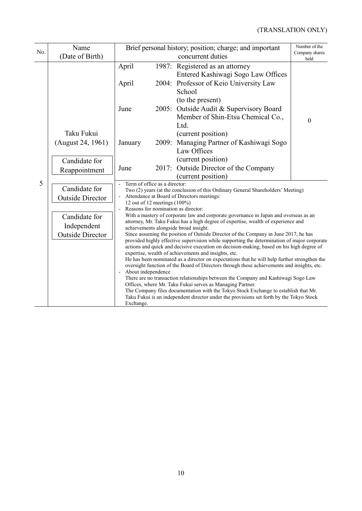| No. | Name<br>(Date of Birth)                                                                             | Brief personal history; position; charge; and important                                                                                                                                                                                                                                                                                                                                                                                                                                                                                                                                                                                                                                                                                                                                                                                                                                                                                                                                                                                                                                                                                                                                                                                                                                                                                                           | Number of the<br>Company shares<br>held |                                                                                                                                                                                                                                                                          |  |  |
|-----|-----------------------------------------------------------------------------------------------------|-------------------------------------------------------------------------------------------------------------------------------------------------------------------------------------------------------------------------------------------------------------------------------------------------------------------------------------------------------------------------------------------------------------------------------------------------------------------------------------------------------------------------------------------------------------------------------------------------------------------------------------------------------------------------------------------------------------------------------------------------------------------------------------------------------------------------------------------------------------------------------------------------------------------------------------------------------------------------------------------------------------------------------------------------------------------------------------------------------------------------------------------------------------------------------------------------------------------------------------------------------------------------------------------------------------------------------------------------------------------|-----------------------------------------|--------------------------------------------------------------------------------------------------------------------------------------------------------------------------------------------------------------------------------------------------------------------------|--|--|
| 5   |                                                                                                     | April<br>April<br>June<br>2005:                                                                                                                                                                                                                                                                                                                                                                                                                                                                                                                                                                                                                                                                                                                                                                                                                                                                                                                                                                                                                                                                                                                                                                                                                                                                                                                                   |                                         | concurrent duties<br>1987: Registered as an attorney<br>Entered Kashiwagi Sogo Law Offices<br>2004: Professor of Keio University Law<br>School<br>(to the present)<br>Outside Audit & Supervisory Board<br>Member of Shin-Etsu Chemical Co.,<br>$\boldsymbol{0}$<br>Ltd. |  |  |
|     | Taku Fukui<br>(August 24, 1961)                                                                     | January                                                                                                                                                                                                                                                                                                                                                                                                                                                                                                                                                                                                                                                                                                                                                                                                                                                                                                                                                                                                                                                                                                                                                                                                                                                                                                                                                           |                                         | (current position)<br>2009: Managing Partner of Kashiwagi Sogo<br>Law Offices                                                                                                                                                                                            |  |  |
|     | Candidate for<br>Reappointment                                                                      | June                                                                                                                                                                                                                                                                                                                                                                                                                                                                                                                                                                                                                                                                                                                                                                                                                                                                                                                                                                                                                                                                                                                                                                                                                                                                                                                                                              | 2017:                                   | (current position)<br>Outside Director of the Company<br>(current position)                                                                                                                                                                                              |  |  |
|     | Candidate for<br><b>Outside Director</b><br>Candidate for<br>Independent<br><b>Outside Director</b> | Term of office as a director:<br>Two (2) years (at the conclusion of this Ordinary General Shareholders' Meeting)<br>Attendance at Board of Directors meetings:<br>12 out of 12 meetings $(100\%)$<br>Reasons for nomination as director:<br>With a mastery of corporate law and corporate governance in Japan and overseas as an<br>attorney, Mr. Taku Fukui has a high degree of expertise, wealth of experience and<br>achievements alongside broad insight.<br>Since assuming the position of Outside Director of the Company in June 2017, he has<br>provided highly effective supervision while supporting the determination of major corporate<br>actions and quick and decisive execution on decision-making, based on his high degree of<br>expertise, wealth of achievements and insights, etc.<br>He has been nominated as a director on expectations that he will help further strengthen the<br>oversight function of the Board of Directors through these achievements and insights, etc.<br>About independence<br>There are no transaction relationships between the Company and Kashiwagi Sogo Law<br>Offices, where Mr. Taku Fukui serves as Managing Partner.<br>The Company files documentation with the Tokyo Stock Exchange to establish that Mr.<br>Taku Fukui is an independent director under the provisions set forth by the Tokyo Stock |                                         |                                                                                                                                                                                                                                                                          |  |  |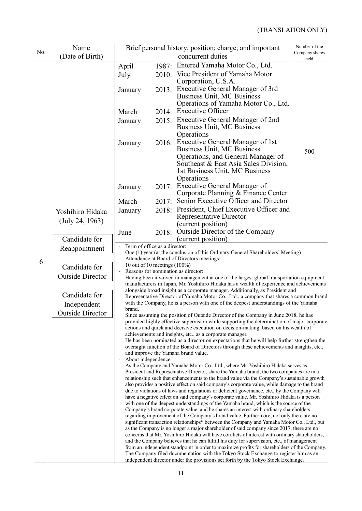|     | Name                    | Brief personal history; position; charge; and important                                                                                                                                                                                                                                                                                                                                                                                                                 | Number of the |                                                                                                                                                                                            |                        |  |  |  |
|-----|-------------------------|-------------------------------------------------------------------------------------------------------------------------------------------------------------------------------------------------------------------------------------------------------------------------------------------------------------------------------------------------------------------------------------------------------------------------------------------------------------------------|---------------|--------------------------------------------------------------------------------------------------------------------------------------------------------------------------------------------|------------------------|--|--|--|
| No. | (Date of Birth)         |                                                                                                                                                                                                                                                                                                                                                                                                                                                                         |               | concurrent duties                                                                                                                                                                          | Company shares<br>held |  |  |  |
|     |                         | April                                                                                                                                                                                                                                                                                                                                                                                                                                                                   |               | 1987: Entered Yamaha Motor Co., Ltd.                                                                                                                                                       |                        |  |  |  |
|     |                         | July                                                                                                                                                                                                                                                                                                                                                                                                                                                                    |               | 2010: Vice President of Yamaha Motor                                                                                                                                                       |                        |  |  |  |
|     |                         |                                                                                                                                                                                                                                                                                                                                                                                                                                                                         |               | Corporation, U.S.A.                                                                                                                                                                        |                        |  |  |  |
|     |                         | January                                                                                                                                                                                                                                                                                                                                                                                                                                                                 |               | 2013: Executive General Manager of 3rd                                                                                                                                                     |                        |  |  |  |
|     |                         |                                                                                                                                                                                                                                                                                                                                                                                                                                                                         |               | <b>Business Unit, MC Business</b><br>Operations of Yamaha Motor Co., Ltd.                                                                                                                  |                        |  |  |  |
|     |                         | March                                                                                                                                                                                                                                                                                                                                                                                                                                                                   |               | 2014: Executive Officer                                                                                                                                                                    |                        |  |  |  |
|     |                         | January                                                                                                                                                                                                                                                                                                                                                                                                                                                                 |               | 2015: Executive General Manager of 2nd                                                                                                                                                     |                        |  |  |  |
|     |                         |                                                                                                                                                                                                                                                                                                                                                                                                                                                                         |               | <b>Business Unit, MC Business</b>                                                                                                                                                          |                        |  |  |  |
|     |                         |                                                                                                                                                                                                                                                                                                                                                                                                                                                                         |               | Operations                                                                                                                                                                                 |                        |  |  |  |
|     |                         | January                                                                                                                                                                                                                                                                                                                                                                                                                                                                 |               | 2016: Executive General Manager of 1st<br><b>Business Unit, MC Business</b>                                                                                                                |                        |  |  |  |
|     |                         |                                                                                                                                                                                                                                                                                                                                                                                                                                                                         |               | Operations, and General Manager of                                                                                                                                                         | 500                    |  |  |  |
|     |                         |                                                                                                                                                                                                                                                                                                                                                                                                                                                                         |               | Southeast & East Asia Sales Division,                                                                                                                                                      |                        |  |  |  |
|     |                         |                                                                                                                                                                                                                                                                                                                                                                                                                                                                         |               | 1st Business Unit, MC Business                                                                                                                                                             |                        |  |  |  |
|     |                         |                                                                                                                                                                                                                                                                                                                                                                                                                                                                         |               | Operations                                                                                                                                                                                 |                        |  |  |  |
|     |                         | January                                                                                                                                                                                                                                                                                                                                                                                                                                                                 |               | 2017: Executive General Manager of<br>Corporate Planning & Finance Center                                                                                                                  |                        |  |  |  |
|     |                         | March                                                                                                                                                                                                                                                                                                                                                                                                                                                                   | 2017:         | Senior Executive Officer and Director                                                                                                                                                      |                        |  |  |  |
|     | Yoshihiro Hidaka        | January                                                                                                                                                                                                                                                                                                                                                                                                                                                                 |               | 2018: President, Chief Executive Officer and                                                                                                                                               |                        |  |  |  |
|     | (July 24, 1963)         |                                                                                                                                                                                                                                                                                                                                                                                                                                                                         |               | Representative Director                                                                                                                                                                    |                        |  |  |  |
|     |                         |                                                                                                                                                                                                                                                                                                                                                                                                                                                                         |               | (current position)                                                                                                                                                                         |                        |  |  |  |
|     | Candidate for           | June                                                                                                                                                                                                                                                                                                                                                                                                                                                                    |               | 2018: Outside Director of the Company<br>(current position)                                                                                                                                |                        |  |  |  |
|     | Reappointment           | Term of office as a director:<br>One (1) year (at the conclusion of this Ordinary General Shareholders' Meeting)<br>Attendance at Board of Directors meetings:                                                                                                                                                                                                                                                                                                          |               |                                                                                                                                                                                            |                        |  |  |  |
|     |                         |                                                                                                                                                                                                                                                                                                                                                                                                                                                                         |               |                                                                                                                                                                                            |                        |  |  |  |
| 6   | Candidate for           | 10 out of 10 meetings $(100\%)$                                                                                                                                                                                                                                                                                                                                                                                                                                         |               |                                                                                                                                                                                            |                        |  |  |  |
|     | <b>Outside Director</b> | Reasons for nomination as director:<br>Having been involved in management at one of the largest global transportation equipment<br>manufacturers in Japan, Mr. Yoshihiro Hidaka has a wealth of experience and achievements<br>alongside broad insight as a corporate manager. Additionally, as President and<br>Representative Director of Yamaha Motor Co., Ltd., a company that shares a common brand                                                                |               |                                                                                                                                                                                            |                        |  |  |  |
|     |                         |                                                                                                                                                                                                                                                                                                                                                                                                                                                                         |               |                                                                                                                                                                                            |                        |  |  |  |
|     | Candidate for           |                                                                                                                                                                                                                                                                                                                                                                                                                                                                         |               |                                                                                                                                                                                            |                        |  |  |  |
|     | Independent             |                                                                                                                                                                                                                                                                                                                                                                                                                                                                         |               | with the Company, he is a person with one of the deepest understandings of the Yamaha                                                                                                      |                        |  |  |  |
|     | <b>Outside Director</b> | brand.                                                                                                                                                                                                                                                                                                                                                                                                                                                                  |               | Since assuming the position of Outside Director of the Company in June 2018, he has                                                                                                        |                        |  |  |  |
|     |                         |                                                                                                                                                                                                                                                                                                                                                                                                                                                                         |               | provided highly effective supervision while supporting the determination of major corporate                                                                                                |                        |  |  |  |
|     |                         |                                                                                                                                                                                                                                                                                                                                                                                                                                                                         |               | actions and quick and decisive execution on decision-making, based on his wealth of                                                                                                        |                        |  |  |  |
|     |                         |                                                                                                                                                                                                                                                                                                                                                                                                                                                                         |               | achievements and insights, etc., as a corporate manager.<br>He has been nominated as a director on expectations that he will help further strengthen the                                   |                        |  |  |  |
|     |                         |                                                                                                                                                                                                                                                                                                                                                                                                                                                                         |               | oversight function of the Board of Directors through these achievements and insights, etc.,                                                                                                |                        |  |  |  |
|     |                         | About independence                                                                                                                                                                                                                                                                                                                                                                                                                                                      |               | and improve the Yamaha brand value.                                                                                                                                                        |                        |  |  |  |
|     |                         |                                                                                                                                                                                                                                                                                                                                                                                                                                                                         |               | As the Company and Yamaha Motor Co., Ltd., where Mr. Yoshihiro Hidaka serves as                                                                                                            |                        |  |  |  |
|     |                         |                                                                                                                                                                                                                                                                                                                                                                                                                                                                         |               | President and Representative Director, share the Yamaha brand, the two companies are in a<br>relationship such that enhancements to the brand value via the Company's sustainable growth   |                        |  |  |  |
|     |                         |                                                                                                                                                                                                                                                                                                                                                                                                                                                                         |               | also provides a positive effect on said company's corporate value, while damage to the brand                                                                                               |                        |  |  |  |
|     |                         | due to violations of laws and regulations or deficient governance, etc., by the Company will<br>have a negative effect on said company's corporate value. Mr. Yoshihiro Hidaka is a person<br>with one of the deepest understandings of the Yamaha brand, which is the source of the<br>Company's brand corporate value, and he shares an interest with ordinary shareholders<br>regarding improvement of the Company's brand value. Furthermore, not only there are no |               |                                                                                                                                                                                            |                        |  |  |  |
|     |                         |                                                                                                                                                                                                                                                                                                                                                                                                                                                                         |               |                                                                                                                                                                                            |                        |  |  |  |
|     |                         |                                                                                                                                                                                                                                                                                                                                                                                                                                                                         |               |                                                                                                                                                                                            |                        |  |  |  |
|     |                         | significant transaction relationships* between the Company and Yamaha Motor Co., Ltd., but                                                                                                                                                                                                                                                                                                                                                                              |               |                                                                                                                                                                                            |                        |  |  |  |
|     |                         |                                                                                                                                                                                                                                                                                                                                                                                                                                                                         |               | as the Company is no longer a major shareholder of said company since 2017, there are no<br>concerns that Mr. Yoshihiro Hidaka will have conflicts of interest with ordinary shareholders, |                        |  |  |  |
|     |                         |                                                                                                                                                                                                                                                                                                                                                                                                                                                                         |               | and the Company believes that he can fulfill his duty for supervision, etc., of management                                                                                                 |                        |  |  |  |
|     |                         |                                                                                                                                                                                                                                                                                                                                                                                                                                                                         |               | from an independent standpoint in order to maximize profits for shareholders of the Company.                                                                                               |                        |  |  |  |
|     |                         |                                                                                                                                                                                                                                                                                                                                                                                                                                                                         |               | The Company filed documentation with the Tokyo Stock Exchange to register him as an<br>independent director under the provisions set forth by the Tokyo Stock Exchange.                    |                        |  |  |  |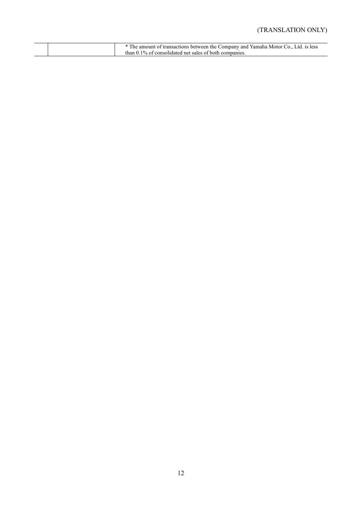### (TRANSLATION ONLY)

|  | * The amount of transactions between the Company and Yamaha Motor Co., Ltd. is less |
|--|-------------------------------------------------------------------------------------|
|  | than 0.1% of consolidated net sales of both companies.                              |
|  |                                                                                     |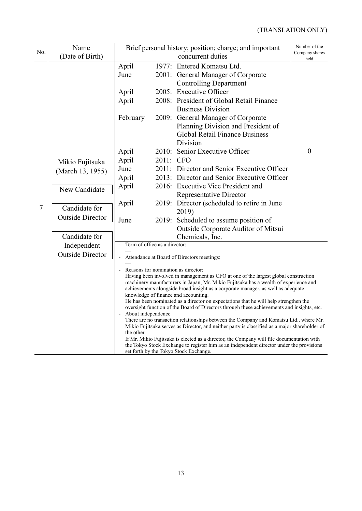| No.    | Name<br>(Date of Birth)                  |                                                                                                                                                                                                                                                                                                                                                                                                                   |           | Brief personal history; position; charge; and important<br>concurrent duties                                                  | Number of the<br>Company shares<br>held |  |  |
|--------|------------------------------------------|-------------------------------------------------------------------------------------------------------------------------------------------------------------------------------------------------------------------------------------------------------------------------------------------------------------------------------------------------------------------------------------------------------------------|-----------|-------------------------------------------------------------------------------------------------------------------------------|-----------------------------------------|--|--|
|        |                                          | April<br>June                                                                                                                                                                                                                                                                                                                                                                                                     |           | 1977: Entered Komatsu Ltd.<br>2001: General Manager of Corporate<br><b>Controlling Department</b>                             |                                         |  |  |
|        |                                          | April<br>April                                                                                                                                                                                                                                                                                                                                                                                                    |           | 2005: Executive Officer<br>2008: President of Global Retail Finance<br><b>Business Division</b>                               |                                         |  |  |
|        |                                          | February                                                                                                                                                                                                                                                                                                                                                                                                          |           | 2009: General Manager of Corporate<br>Planning Division and President of<br><b>Global Retail Finance Business</b><br>Division |                                         |  |  |
|        | Mikio Fujitsuka<br>(March 13, 1955)      | April<br>April<br>June                                                                                                                                                                                                                                                                                                                                                                                            | 2011: CFO | 2010: Senior Executive Officer<br>2011: Director and Senior Executive Officer                                                 | $\boldsymbol{0}$                        |  |  |
|        | New Candidate                            | April<br>April                                                                                                                                                                                                                                                                                                                                                                                                    |           | 2013: Director and Senior Executive Officer<br>2016: Executive Vice President and<br><b>Representative Director</b>           |                                         |  |  |
| $\tau$ | Candidate for<br><b>Outside Director</b> | April<br>June                                                                                                                                                                                                                                                                                                                                                                                                     |           | 2019: Director (scheduled to retire in June<br>2019)<br>2019: Scheduled to assume position of                                 |                                         |  |  |
|        | Candidate for                            |                                                                                                                                                                                                                                                                                                                                                                                                                   |           | Outside Corporate Auditor of Mitsui<br>Chemicals, Inc.                                                                        |                                         |  |  |
|        | Independent<br><b>Outside Director</b>   | Term of office as a director:<br>Attendance at Board of Directors meetings:                                                                                                                                                                                                                                                                                                                                       |           |                                                                                                                               |                                         |  |  |
|        |                                          | Reasons for nomination as director:<br>Having been involved in management as CFO at one of the largest global construction<br>machinery manufacturers in Japan, Mr. Mikio Fujitsuka has a wealth of experience and<br>achievements alongside broad insight as a corporate manager, as well as adequate<br>knowledge of finance and accounting.                                                                    |           |                                                                                                                               |                                         |  |  |
|        |                                          | He has been nominated as a director on expectations that he will help strengthen the<br>oversight function of the Board of Directors through these achievements and insights, etc.<br>About independence<br>There are no transaction relationships between the Company and Komatsu Ltd., where Mr.<br>Mikio Fujitsuka serves as Director, and neither party is classified as a major shareholder of<br>the other. |           |                                                                                                                               |                                         |  |  |
|        |                                          | If Mr. Mikio Fujitsuka is elected as a director, the Company will file documentation with<br>the Tokyo Stock Exchange to register him as an independent director under the provisions<br>set forth by the Tokyo Stock Exchange.                                                                                                                                                                                   |           |                                                                                                                               |                                         |  |  |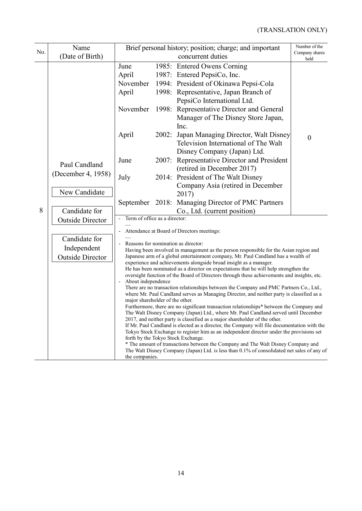| No. | Name                    |                                 |       | Brief personal history; position; charge; and important<br>concurrent duties                                                                                                        | Number of the<br>Company shares |  |  |  |  |  |
|-----|-------------------------|---------------------------------|-------|-------------------------------------------------------------------------------------------------------------------------------------------------------------------------------------|---------------------------------|--|--|--|--|--|
|     | (Date of Birth)         |                                 | held  |                                                                                                                                                                                     |                                 |  |  |  |  |  |
|     |                         | June                            |       | 1985: Entered Owens Corning                                                                                                                                                         |                                 |  |  |  |  |  |
|     |                         | April                           |       | 1987: Entered PepsiCo, Inc.                                                                                                                                                         |                                 |  |  |  |  |  |
|     |                         | November                        |       | 1994: President of Okinawa Pepsi-Cola                                                                                                                                               |                                 |  |  |  |  |  |
|     |                         | April                           |       | 1998: Representative, Japan Branch of                                                                                                                                               |                                 |  |  |  |  |  |
|     |                         |                                 |       | PepsiCo International Ltd.                                                                                                                                                          |                                 |  |  |  |  |  |
|     |                         | November                        |       | 1998: Representative Director and General                                                                                                                                           |                                 |  |  |  |  |  |
|     |                         |                                 |       | Manager of The Disney Store Japan,                                                                                                                                                  |                                 |  |  |  |  |  |
|     |                         |                                 |       | Inc.                                                                                                                                                                                |                                 |  |  |  |  |  |
|     |                         | April                           | 2002: | Japan Managing Director, Walt Disney                                                                                                                                                | $\boldsymbol{0}$                |  |  |  |  |  |
|     |                         |                                 |       | Television International of The Walt                                                                                                                                                |                                 |  |  |  |  |  |
|     |                         |                                 |       | Disney Company (Japan) Ltd.                                                                                                                                                         |                                 |  |  |  |  |  |
|     | Paul Candland           | June                            |       | 2007: Representative Director and President                                                                                                                                         |                                 |  |  |  |  |  |
|     | (December 4, 1958)      |                                 |       | (retired in December 2017)                                                                                                                                                          |                                 |  |  |  |  |  |
|     |                         | July                            |       | 2014: President of The Walt Disney                                                                                                                                                  |                                 |  |  |  |  |  |
|     | New Candidate           |                                 |       | Company Asia (retired in December<br>2017)                                                                                                                                          |                                 |  |  |  |  |  |
|     |                         |                                 |       | September 2018: Managing Director of PMC Partners                                                                                                                                   |                                 |  |  |  |  |  |
| 8   | Candidate for           |                                 |       | Co., Ltd. (current position)                                                                                                                                                        |                                 |  |  |  |  |  |
|     | <b>Outside Director</b> | Term of office as a director:   |       |                                                                                                                                                                                     |                                 |  |  |  |  |  |
|     |                         |                                 |       |                                                                                                                                                                                     |                                 |  |  |  |  |  |
|     | Candidate for           |                                 |       | Attendance at Board of Directors meetings:                                                                                                                                          |                                 |  |  |  |  |  |
|     | Independent             |                                 |       | Reasons for nomination as director:                                                                                                                                                 |                                 |  |  |  |  |  |
|     | <b>Outside Director</b> |                                 |       | Having been involved in management as the person responsible for the Asian region and<br>Japanese arm of a global entertainment company, Mr. Paul Candland has a wealth of          |                                 |  |  |  |  |  |
|     |                         |                                 |       | experience and achievements alongside broad insight as a manager.                                                                                                                   |                                 |  |  |  |  |  |
|     |                         |                                 |       | He has been nominated as a director on expectations that he will help strengthen the<br>oversight function of the Board of Directors through these achievements and insights, etc.  |                                 |  |  |  |  |  |
|     |                         | About independence              |       |                                                                                                                                                                                     |                                 |  |  |  |  |  |
|     |                         |                                 |       | There are no transaction relationships between the Company and PMC Partners Co., Ltd.,<br>where Mr. Paul Candland serves as Managing Director, and neither party is classified as a |                                 |  |  |  |  |  |
|     |                         | major shareholder of the other. |       |                                                                                                                                                                                     |                                 |  |  |  |  |  |
|     |                         |                                 |       | Furthermore, there are no significant transaction relationships* between the Company and                                                                                            |                                 |  |  |  |  |  |
|     |                         |                                 |       | The Walt Disney Company (Japan) Ltd., where Mr. Paul Candland served until December<br>2017, and neither party is classified as a major shareholder of the other.                   |                                 |  |  |  |  |  |
|     |                         |                                 |       | If Mr. Paul Candland is elected as a director, the Company will file documentation with the                                                                                         |                                 |  |  |  |  |  |
|     |                         |                                 |       | Tokyo Stock Exchange to register him as an independent director under the provisions set<br>forth by the Tokyo Stock Exchange.                                                      |                                 |  |  |  |  |  |
|     |                         |                                 |       | * The amount of transactions between the Company and The Walt Disney Company and                                                                                                    |                                 |  |  |  |  |  |
|     |                         |                                 |       | The Walt Disney Company (Japan) Ltd. is less than 0.1% of consolidated net sales of any of                                                                                          |                                 |  |  |  |  |  |
|     |                         |                                 |       | the companies.                                                                                                                                                                      |                                 |  |  |  |  |  |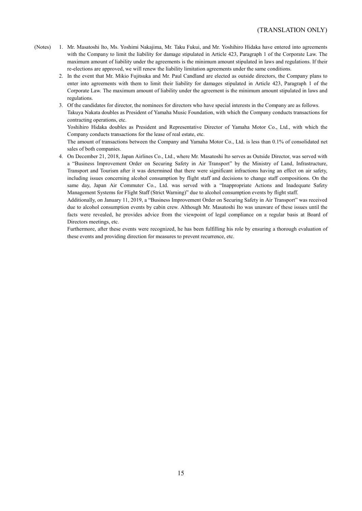- (Notes) 1. Mr. Masatoshi Ito, Ms. Yoshimi Nakajima, Mr. Taku Fukui, and Mr. Yoshihiro Hidaka have entered into agreements with the Company to limit the liability for damage stipulated in Article 423, Paragraph 1 of the Corporate Law. The maximum amount of liability under the agreements is the minimum amount stipulated in laws and regulations. If their re-elections are approved, we will renew the liability limitation agreements under the same conditions.
	- 2. In the event that Mr. Mikio Fujitsuka and Mr. Paul Candland are elected as outside directors, the Company plans to enter into agreements with them to limit their liability for damages stipulated in Article 423, Paragraph 1 of the Corporate Law. The maximum amount of liability under the agreement is the minimum amount stipulated in laws and regulations.
	- 3. Of the candidates for director, the nominees for directors who have special interests in the Company are as follows.
	- Takuya Nakata doubles as President of Yamaha Music Foundation, with which the Company conducts transactions for contracting operations, etc.

Yoshihiro Hidaka doubles as President and Representative Director of Yamaha Motor Co., Ltd., with which the Company conducts transactions for the lease of real estate, etc.

The amount of transactions between the Company and Yamaha Motor Co., Ltd. is less than 0.1% of consolidated net sales of both companies.

4. On December 21, 2018, Japan Airlines Co., Ltd., where Mr. Masatoshi Ito serves as Outside Director, was served with a "Business Improvement Order on Securing Safety in Air Transport" by the Ministry of Land, Infrastructure, Transport and Tourism after it was determined that there were significant infractions having an effect on air safety, including issues concerning alcohol consumption by flight staff and decisions to change staff compositions. On the same day, Japan Air Commuter Co., Ltd. was served with a "Inappropriate Actions and Inadequate Safety Management Systems for Flight Staff (Strict Warning)" due to alcohol consumption events by flight staff.

Additionally, on January 11, 2019, a "Business Improvement Order on Securing Safety in Air Transport" was received due to alcohol consumption events by cabin crew. Although Mr. Masatoshi Ito was unaware of these issues until the facts were revealed, he provides advice from the viewpoint of legal compliance on a regular basis at Board of Directors meetings, etc.

Furthermore, after these events were recognized, he has been fulfilling his role by ensuring a thorough evaluation of these events and providing direction for measures to prevent recurrence, etc.